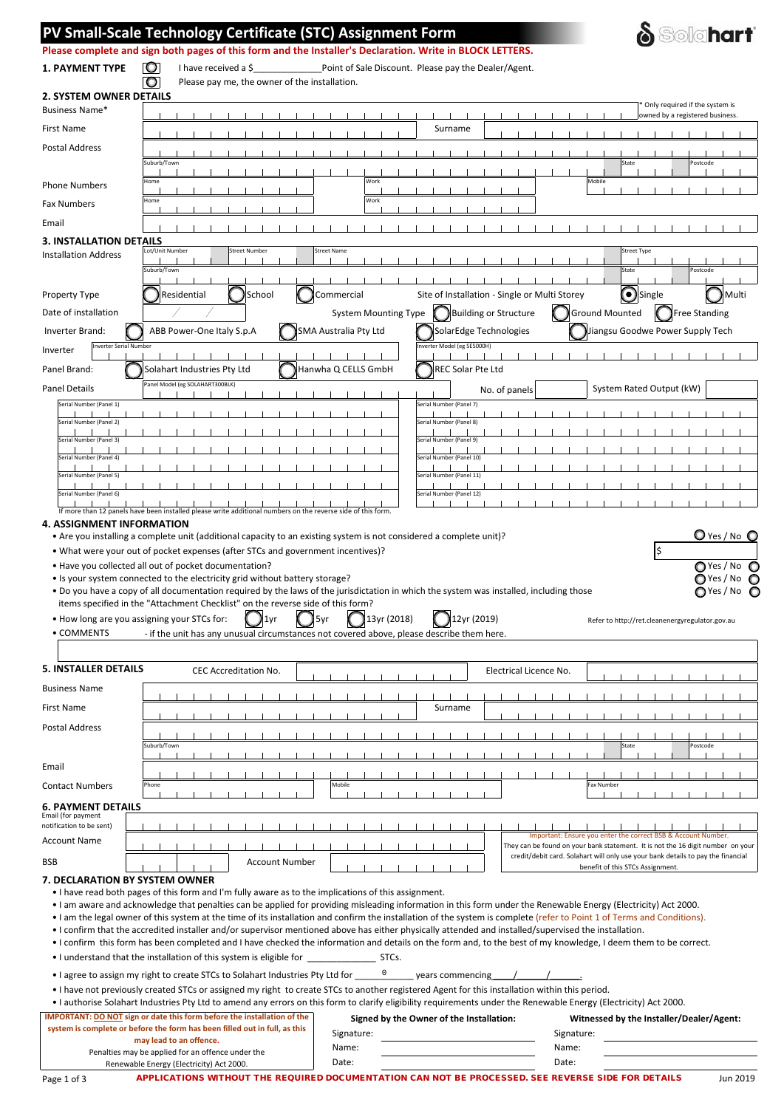|                                                                                                    | PV Small-Scale Technology Certificate (STC) Assignment Form                                                                                                    |                                                                                                                                                                          | <b>Solahart</b>                                                                                                      |
|----------------------------------------------------------------------------------------------------|----------------------------------------------------------------------------------------------------------------------------------------------------------------|--------------------------------------------------------------------------------------------------------------------------------------------------------------------------|----------------------------------------------------------------------------------------------------------------------|
|                                                                                                    |                                                                                                                                                                | Please complete and sign both pages of this form and the Installer's Declaration. Write in BLOCK LETTERS.                                                                |                                                                                                                      |
| <b>1. PAYMENT TYPE</b>                                                                             | 10<br>I have received a \$                                                                                                                                     | Point of Sale Discount. Please pay the Dealer/Agent.                                                                                                                     |                                                                                                                      |
|                                                                                                    | $\circ$<br>Please pay me, the owner of the installation.                                                                                                       |                                                                                                                                                                          |                                                                                                                      |
| <b>2. SYSTEM OWNER DETAILS</b><br>Business Name*                                                   |                                                                                                                                                                |                                                                                                                                                                          | Only required if the system is<br>owned by a registered business.                                                    |
| First Name                                                                                         |                                                                                                                                                                | Surname                                                                                                                                                                  |                                                                                                                      |
| Postal Address                                                                                     |                                                                                                                                                                |                                                                                                                                                                          |                                                                                                                      |
|                                                                                                    | Suburb/Town                                                                                                                                                    |                                                                                                                                                                          | State<br>Postcode                                                                                                    |
| <b>Phone Numbers</b>                                                                               | Home                                                                                                                                                           | Work                                                                                                                                                                     | Mobile                                                                                                               |
| <b>Fax Numbers</b>                                                                                 | Home                                                                                                                                                           | Work                                                                                                                                                                     |                                                                                                                      |
| Email                                                                                              |                                                                                                                                                                |                                                                                                                                                                          |                                                                                                                      |
| 3. INSTALLATION DETAILS                                                                            |                                                                                                                                                                |                                                                                                                                                                          |                                                                                                                      |
| <b>Installation Address</b>                                                                        | Lot/Unit Number<br><b>Street Number</b>                                                                                                                        | <b>Street Name</b>                                                                                                                                                       | <b>Street Type</b>                                                                                                   |
|                                                                                                    | Suburb/Town                                                                                                                                                    |                                                                                                                                                                          | State<br>Postcode                                                                                                    |
| Property Type                                                                                      | School<br>Residential                                                                                                                                          | Site of Installation - Single or Multi Storey<br>Commercial                                                                                                              | $\bigodot$ Single<br>Multi                                                                                           |
| Date of installation                                                                               |                                                                                                                                                                | <b>Building or Structure</b><br><b>System Mounting Type</b>                                                                                                              | <b>Ground Mounted</b><br>Standing                                                                                    |
| Inverter Brand:                                                                                    | ABB Power-One Italy S.p.A                                                                                                                                      | SMA Australia Pty Ltd<br>SolarEdge Technologies                                                                                                                          | Jiangsu Goodwe Power Supply Tech                                                                                     |
| Inverter Serial Number<br>Inverter                                                                 |                                                                                                                                                                | nverter Model (eg SE5000H)                                                                                                                                               |                                                                                                                      |
| Panel Brand:                                                                                       | Solahart Industries Pty Ltd                                                                                                                                    | REC Solar Pte Ltd<br>Hanwha Q CELLS GmbH                                                                                                                                 |                                                                                                                      |
| <b>Panel Details</b>                                                                               | Panel Model (eg SOLAHART300BLK)                                                                                                                                |                                                                                                                                                                          | System Rated Output (kW)                                                                                             |
| Serial Number (Panel 1)                                                                            |                                                                                                                                                                | No. of panels<br>Serial Number (Panel 7)                                                                                                                                 |                                                                                                                      |
| Serial Number (Panel 2)                                                                            |                                                                                                                                                                | Serial Number (Panel 8)                                                                                                                                                  |                                                                                                                      |
| Serial Number (Panel 3)                                                                            |                                                                                                                                                                | Serial Number (Panel 9)                                                                                                                                                  |                                                                                                                      |
| Serial Number (Panel 4)                                                                            |                                                                                                                                                                | Serial Number (Panel 10)                                                                                                                                                 |                                                                                                                      |
| Serial Number (Panel 5)                                                                            |                                                                                                                                                                | Serial Number (Panel 11)                                                                                                                                                 |                                                                                                                      |
| Serial Number (Panel 6)                                                                            |                                                                                                                                                                | Serial Number (Panel 12)                                                                                                                                                 |                                                                                                                      |
|                                                                                                    | If more than 12 panels have been installed please write additional numbers on the reverse side of this form.                                                   |                                                                                                                                                                          |                                                                                                                      |
|                                                                                                    | • What were your out of pocket expenses (after STCs and government incentives)?<br>. Have you collected all out of pocket documentation?                       | • Are you installing a complete unit (additional capacity to an existing system is not considered a complete unit)?                                                      | $\bigcirc$ Yes / No $\bigcirc$<br>O Yes / No C                                                                       |
|                                                                                                    | • Is your system connected to the electricity grid without battery storage?<br>items specified in the "Attachment Checklist" on the reverse side of this form? | . Do you have a copy of all documentation required by the laws of the jurisdictation in which the system was installed, including those                                  | $\bigcirc$ Yes / No $\bigcirc$<br>$\bigcirc$ Yes/No $\bigcirc$                                                       |
| . How long are you assigning your STCs for:<br>• COMMENTS                                          |                                                                                                                                                                | 13yr (2018)<br>12yr (2019)<br>- if the unit has any unusual circumstances not covered above, please describe them here.                                                  | Refer to http://ret.cleanenergyregulator.gov.au                                                                      |
|                                                                                                    |                                                                                                                                                                |                                                                                                                                                                          |                                                                                                                      |
|                                                                                                    | <b>CEC Accreditation No.</b>                                                                                                                                   | Electrical Licence No.                                                                                                                                                   |                                                                                                                      |
| <b>Business Name</b>                                                                               |                                                                                                                                                                |                                                                                                                                                                          |                                                                                                                      |
|                                                                                                    |                                                                                                                                                                | Surname                                                                                                                                                                  |                                                                                                                      |
| <b>Postal Address</b>                                                                              |                                                                                                                                                                |                                                                                                                                                                          |                                                                                                                      |
|                                                                                                    | Suburb/Town                                                                                                                                                    |                                                                                                                                                                          | State<br>Postcode                                                                                                    |
|                                                                                                    |                                                                                                                                                                |                                                                                                                                                                          |                                                                                                                      |
| <b>Contact Numbers</b>                                                                             | Phone                                                                                                                                                          | Mobile                                                                                                                                                                   | Fax Number                                                                                                           |
|                                                                                                    |                                                                                                                                                                |                                                                                                                                                                          |                                                                                                                      |
|                                                                                                    |                                                                                                                                                                |                                                                                                                                                                          | Important: Ensure you enter the correct BSB & Account Number.                                                        |
|                                                                                                    |                                                                                                                                                                |                                                                                                                                                                          | They can be found on your bank statement. It is not the 16 digit number on your                                      |
| <b>6. PAYMENT DETAILS</b><br>Email (for payment<br>notification to be sent)<br>Account Name        | <b>Account Number</b>                                                                                                                                          |                                                                                                                                                                          | credit/debit card. Solahart will only use your bank details to pay the financial<br>benefit of this STCs Assignment. |
| <b>5. INSTALLER DETAILS</b><br>First Name<br>Email<br><b>BSB</b><br>7. DECLARATION BY SYSTEM OWNER |                                                                                                                                                                |                                                                                                                                                                          |                                                                                                                      |
|                                                                                                    | . I have read both pages of this form and I'm fully aware as to the implications of this assignment.                                                           | • I am aware and acknowledge that penalties can be applied for providing misleading information in this form under the Renewable Energy (Electricity) Act 2000.          |                                                                                                                      |
|                                                                                                    |                                                                                                                                                                | • I am the legal owner of this system at the time of its installation and confirm the installation of the system is complete (refer to Point 1 of Terms and Conditions). |                                                                                                                      |
|                                                                                                    |                                                                                                                                                                | • I confirm that the accredited installer and/or supervisor mentioned above has either physically attended and installed/supervised the installation.                    |                                                                                                                      |
|                                                                                                    |                                                                                                                                                                | • I confirm this form has been completed and I have checked the information and details on the form and, to the best of my knowledge, I deem them to be correct.         |                                                                                                                      |
|                                                                                                    |                                                                                                                                                                | years commencing                                                                                                                                                         |                                                                                                                      |
|                                                                                                    |                                                                                                                                                                | • I have not previously created STCs or assigned my right to create STCs to another registered Agent for this installation within this period.                           |                                                                                                                      |
|                                                                                                    | IMPORTANT: DO NOT sign or date this form before the installation of the                                                                                        | . I authorise Solahart Industries Pty Ltd to amend any errors on this form to clarify eligibility requirements under the Renewable Energy (Electricity) Act 2000.        |                                                                                                                      |
|                                                                                                    | system is complete or before the form has been filled out in full, as this<br>may lead to an offence.                                                          | Signed by the Owner of the Installation:<br>Signature:                                                                                                                   | Witnessed by the Installer/Dealer/Agent:<br>Signature:                                                               |

Penalties may be applied for an offence under the Renewable Energy (Electricity) Act 2000.

APPLICATIONS WITHOUT THE REQUIRED DOCUMENTATION CAN NOT BE PROCESSED. SEE REVERSE SIDE FOR DETAILS Jun 2019

Date: Date: Date: Date: Date: Date: Date: Date: Date: Date: Date: Date: Date: Date: Date: Date: Date: Date: Date: Date: Date: Date: Date: Date: Date: Date: Date: Date: Date: Date: Date: Date: Date: Date: Date: Date: Date: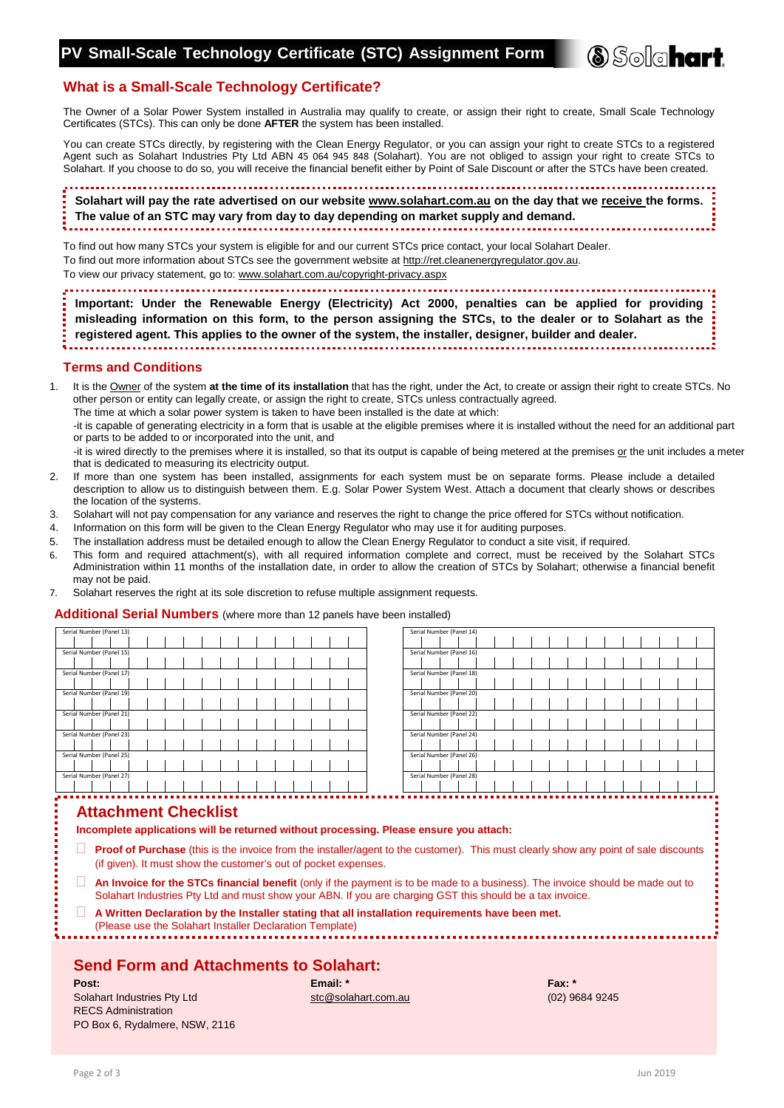

## **What is a Small-Scale Technology Certificate?**

The Owner of a Solar Power System installed in Australia may qualify to create, or assign their right to create, Small Scale Technology Certificates (STCs). This can only be done **AFTER** the system has been installed.

You can create STCs directly, by registering with the Clean Energy Regulator, or you can assign your right to create STCs to a registered Agent such as Solahart Industries Pty Ltd ABN 45 064 945 848 (Solahart). You are not obliged to assign your right to create STCs to Solahart. If you choose to do so, you will receive the financial benefit either by Point of Sale Discount or after the STCs have been created.

**Solahart will pay the rate advertised on our website [www.solahart.com.au](http://www.solahart.com.au/) on the day that we receive the forms. The value of an STC may vary from day to day depending on market supply and demand.** 

To find out how many STCs your system is eligible for and our current STCs price contact, your local Solahart Dealer. To find out more information about STCs see the government website at [http://ret.cleanenergyregulator.gov.au.](http://ret.cleanenergyregulator.gov.au/) To view our privacy statement, go to: www.solahart.com.au/copyright-privacy.aspx

**Important: Under the Renewable Energy (Electricity) Act 2000, penalties can be applied for providing misleading information on this form, to the person assigning the STCs, to the dealer or to Solahart as the registered agent. This applies to the owner of the system, the installer, designer, builder and dealer.**

### **Terms and Conditions**

1. It is the Owner of the system **at the time of its installation** that has the right, under the Act, to create or assign their right to create STCs. No other person or entity can legally create, or assign the right to create, STCs unless contractually agreed.

The time at which a solar power system is taken to have been installed is the date at which:

-it is capable of generating electricity in a form that is usable at the eligible premises where it is installed without the need for an additional part or parts to be added to or incorporated into the unit, and

-it is wired directly to the premises where it is installed, so that its output is capable of being metered at the premises or the unit includes a meter that is dedicated to measuring its electricity output.

- 2. If more than one system has been installed, assignments for each system must be on separate forms. Please include a detailed description to allow us to distinguish between them. E.g. Solar Power System West. Attach a document that clearly shows or describes the location of the systems.
- 3. Solahart will not pay compensation for any variance and reserves the right to change the price offered for STCs without notification.
- 4. Information on this form will be given to the Clean Energy Regulator who may use it for auditing purposes.
- 5. The installation address must be detailed enough to allow the Clean Energy Regulator to conduct a site visit, if required.
- 6. This form and required attachment(s), with all required information complete and correct, must be received by the Solahart STCs Administration within 11 months of the installation date, in order to allow the creation of STCs by Solahart; otherwise a financial benefit may not be paid.
- 7. Solahart reserves the right at its sole discretion to refuse multiple assignment requests.

#### **Additional Serial Numbers** (where more than 12 panels have been installed)

| Serial Number (Panel 13) |  | Serial Number (Panel 14) |
|--------------------------|--|--------------------------|
|                          |  |                          |
| Serial Number (Panel 15) |  | Serial Number (Panel 16) |
|                          |  |                          |
| Serial Number (Panel 17) |  | Serial Number (Panel 18) |
|                          |  |                          |
| Serial Number (Panel 19) |  | Serial Number (Panel 20) |
|                          |  |                          |
| Serial Number (Panel 21) |  | Serial Number (Panel 22) |
|                          |  |                          |
| Serial Number (Panel 23) |  | Serial Number (Panel 24) |
|                          |  |                          |
| Serial Number (Panel 25) |  | Serial Number (Panel 26) |
|                          |  |                          |
| Serial Number (Panel 27) |  | Serial Number (Panel 28) |
|                          |  |                          |
| .                        |  | ------------------       |

### **Attachment Checklist**

**Incomplete applications will be returned without processing. Please ensure you attach:**

- **Proof of Purchase** (this is the invoice from the installer/agent to the customer). This must clearly show any point of sale discounts (if given). It must show the customer's out of pocket expenses.
- **An Invoice for the STCs financial benefit** (only if the payment is to be made to a business). The invoice should be made out to Solahart Industries Pty Ltd and must show your ABN. If you are charging GST this should be a tax invoice.
- **A Written Declaration by the Installer stating that all installation requirements have been met.**

(Please use the Solahart Installer Declaration Template)

## **Send Form and Attachments to Solahart:**

| Post:                          | Email: $*$          | Fax:      |
|--------------------------------|---------------------|-----------|
| Solahart Industries Pty Ltd    | stc@solahart.com.au | $(02)$ 96 |
| <b>RECS Administration</b>     |                     |           |
| PO Box 6, Rydalmere, NSW, 2116 |                     |           |

[stc@solahart.com.au](mailto:recs@solahart.com.au) (02) 9684 9245